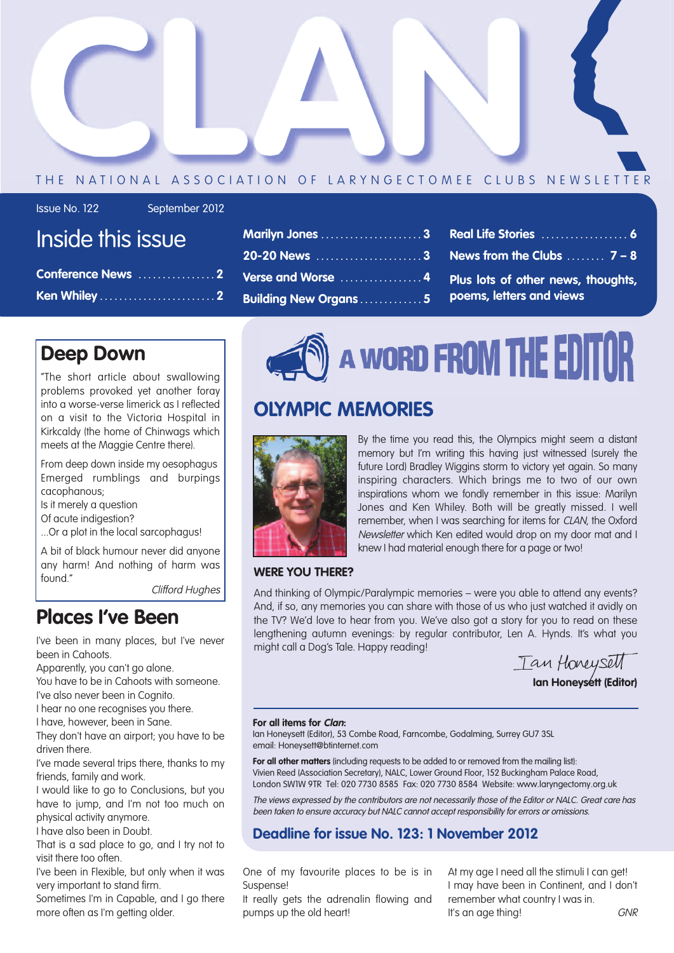

#### THE NATIONAL ASSOCIATION OF LARYNGECTOMEE CLUBS NEWSLETTER

| <b>Issue No. 122</b> | Septe |
|----------------------|-------|
|----------------------|-------|

mber 2012

## Inside this issue

| Conference News 2 |  |
|-------------------|--|
|                   |  |

|                               | Marilyn Jones 3 Real Life Stories  6                 |
|-------------------------------|------------------------------------------------------|
|                               |                                                      |
|                               | Verse and Worse 4 Plus lots of other news, thoughts, |
| <b>Building New Organs  5</b> | poems, letters and views                             |

### **Deep Down**

"The short article about swallowing problems provoked yet another foray into a worse-verse limerick as I reflected on a visit to the Victoria Hospital in Kirkcaldy (the home of Chinwags which meets at the Maggie Centre there).

From deep down inside my oesophagus Emerged rumblings and burpings cacophanous;

Is it merely a question

Of acute indigestion?

...Or a plot in the local sarcophagus!

A bit of black humour never did anyone any harm! And nothing of harm was found."

Clifford Hughes

### **Places I've Been**

I've been in many places, but I've never been in Cahoots.

Apparently, you can't go alone.

You have to be in Cahoots with someone. I've also never been in Cognito.

I hear no one recognises you there.

I have, however, been in Sane.

They don't have an airport; you have to be driven there.

I've made several trips there, thanks to my friends, family and work.

I would like to go to Conclusions, but you have to jump, and I'm not too much on physical activity anymore.

I have also been in Doubt.

That is a sad place to go, and I try not to visit there too often.

I've been in Flexible, but only when it was very important to stand firm.

Sometimes I'm in Capable, and I go there more often as I'm getting older.



### **OLYMPIC MEMORIES**



By the time you read this, the Olympics might seem a distant memory but I'm writing this having just witnessed (surely the future Lord) Bradley Wiggins storm to victory yet again. So many inspiring characters. Which brings me to two of our own inspirations whom we fondly remember in this issue: Marilyn Jones and Ken Whiley. Both will be greatly missed. I well remember, when I was searching for items for CLAN, the Oxford Newsletter which Ken edited would drop on my door mat and I knew I had material enough there for a page or two!

#### **WERE YOU THERE?**

And thinking of Olympic/Paralympic memories – were you able to attend any events? And, if so, any memories you can share with those of us who just watched it avidly on the TV? We'd love to hear from you. We've also got a story for you to read on these lengthening autumn evenings: by regular contributor, Len A. Hynds. It's what you might call a Dog's Tale. Happy reading!

Tan Honeysett **Ian Honeysett (Editor)**

#### **For all items for Clan:**

Ian Honeysett (Editor), 53 Combe Road, Farncombe, Godalming, Surrey GU7 3SL email: Honeysett@btinternet.com

**For all other matters** (including requests to be added to or removed from the mailing list): Vivien Reed (Association Secretary), NALC, Lower Ground Floor, 152 Buckingham Palace Road, London SW1W 9TR Tel: 020 7730 8585 Fax: 020 7730 8584 Website: www.laryngectomy.org.uk

The views expressed by the contributors are not necessarily those of the Editor or NALC. Great care has been taken to ensure accuracy but NALC cannot accept responsibility for errors or omissions.

### **Deadline for issue No. 123: 1 November 2012**

One of my favourite places to be is in Suspense!

It really gets the adrenalin flowing and pumps up the old heart!

At my age I need all the stimuli I can get! I may have been in Continent, and I don't remember what country I was in. It's an age thing! GNR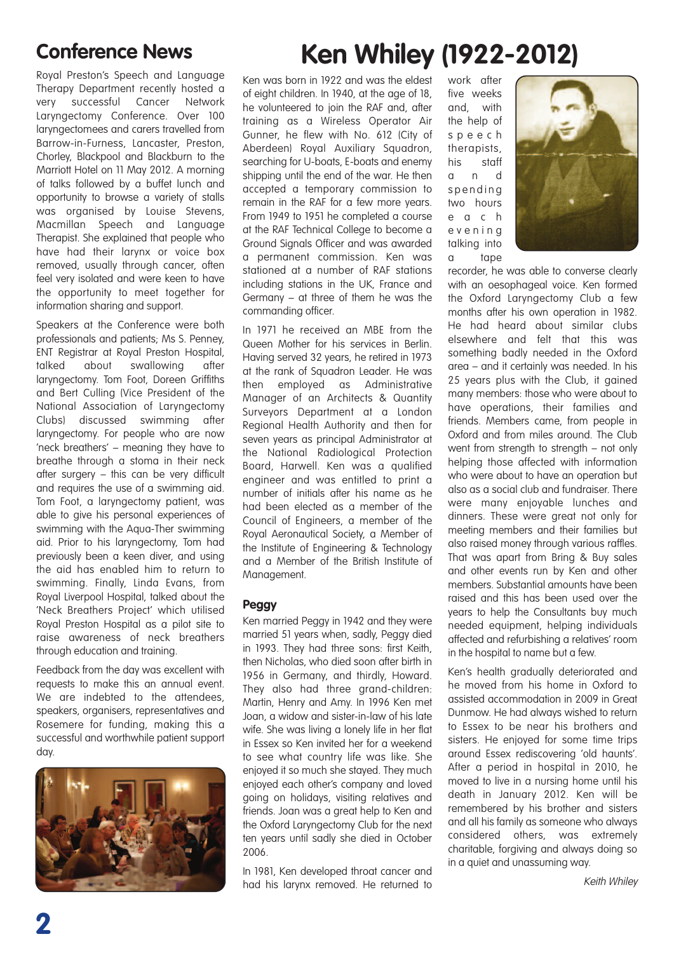Royal Preston's Speech and Language Therapy Department recently hosted a very successful Cancer Network Laryngectomy Conference. Over 100 laryngectomees and carers travelled from Barrow-in-Furness, Lancaster, Preston, Chorley, Blackpool and Blackburn to the Marriott Hotel on 11 May 2012. A morning of talks followed by a buffet lunch and opportunity to browse a variety of stalls was organised by Louise Stevens, Macmillan Speech and Language Therapist. She explained that people who have had their larynx or voice box removed, usually through cancer, often feel very isolated and were keen to have the opportunity to meet together for information sharing and support.

Speakers at the Conference were both professionals and patients; Ms S. Penney, ENT Registrar at Royal Preston Hospital, talked about swallowing after laryngectomy. Tom Foot, Doreen Griffiths and Bert Culling (Vice President of the National Association of Laryngectomy Clubs) discussed swimming after laryngectomy. For people who are now 'neck breathers' – meaning they have to breathe through a stoma in their neck after surgery – this can be very difficult and requires the use of a swimming aid. Tom Foot, a laryngectomy patient, was able to give his personal experiences of swimming with the Aqua-Ther swimming aid. Prior to his laryngectomy, Tom had previously been a keen diver, and using the aid has enabled him to return to swimming. Finally, Linda Evans, from Royal Liverpool Hospital, talked about the 'Neck Breathers Project' which utilised Royal Preston Hospital as a pilot site to raise awareness of neck breathers through education and training.

Feedback from the day was excellent with requests to make this an annual event. We are indebted to the attendees, speakers, organisers, representatives and Rosemere for funding, making this a successful and worthwhile patient support day.



# **Conference News Ken Whiley (1922-2012)**

Ken was born in 1922 and was the eldest of eight children. In 1940, at the age of 18, he volunteered to join the RAF and, after training as a Wireless Operator Air Gunner, he flew with No. 612 (City of Aberdeen) Royal Auxiliary Squadron, searching for U-boats, E-boats and enemy shipping until the end of the war. He then accepted a temporary commission to remain in the RAF for a few more years. From 1949 to 1951 he completed a course at the RAF Technical College to become a Ground Signals Officer and was awarded a permanent commission. Ken was stationed at a number of RAF stations including stations in the UK, France and Germany – at three of them he was the commanding officer.

In 1971 he received an MBE from the Queen Mother for his services in Berlin. Having served 32 years, he retired in 1973 at the rank of Squadron Leader. He was then employed as Administrative Manager of an Architects & Quantity Surveyors Department at a London Regional Health Authority and then for seven years as principal Administrator at the National Radiological Protection Board, Harwell. Ken was a qualified engineer and was entitled to print a number of initials after his name as he had been elected as a member of the Council of Engineers, a member of the Royal Aeronautical Society, a Member of the Institute of Engineering & Technology and a Member of the British Institute of Management.

#### **Peggy**

Ken married Peggy in 1942 and they were married 51 years when, sadly, Peggy died in 1993. They had three sons: first Keith, then Nicholas, who died soon after birth in 1956 in Germany, and thirdly, Howard. They also had three grand-children: Martin, Henry and Amy. In 1996 Ken met Joan, a widow and sister-in-law of his late wife. She was living a lonely life in her flat in Essex so Ken invited her for a weekend to see what country life was like. She enjoyed it so much she stayed. They much enjoyed each other's company and loved going on holidays, visiting relatives and friends. Joan was a great help to Ken and the Oxford Laryngectomy Club for the next ten years until sadly she died in October 2006.

In 1981, Ken developed throat cancer and had his larynx removed. He returned to work after five weeks and, with the help of s p e e c h therapists, his staff a n d spending two hours e a c h e v e n i n g talking into a tape



recorder, he was able to converse clearly with an oesophageal voice. Ken formed the Oxford Laryngectomy Club a few months after his own operation in 1982. He had heard about similar clubs elsewhere and felt that this was something badly needed in the Oxford area – and it certainly was needed. In his 25 years plus with the Club, it gained many members: those who were about to have operations, their families and friends. Members came, from people in Oxford and from miles around. The Club went from strength to strength – not only helping those affected with information who were about to have an operation but also as a social club and fundraiser. There were many enjoyable lunches and dinners. These were great not only for meeting members and their families but also raised money through various raffles. That was apart from Bring & Buy sales and other events run by Ken and other members. Substantial amounts have been raised and this has been used over the years to help the Consultants buy much needed equipment, helping individuals affected and refurbishing a relatives' room in the hospital to name but a few.

Ken's health gradually deteriorated and he moved from his home in Oxford to assisted accommodation in 2009 in Great Dunmow. He had always wished to return to Essex to be near his brothers and sisters. He enjoyed for some time trips around Essex rediscovering 'old haunts'. After a period in hospital in 2010, he moved to live in a nursing home until his death in January 2012. Ken will be remembered by his brother and sisters and all his family as someone who always considered others, was extremely charitable, forgiving and always doing so in a quiet and unassuming way.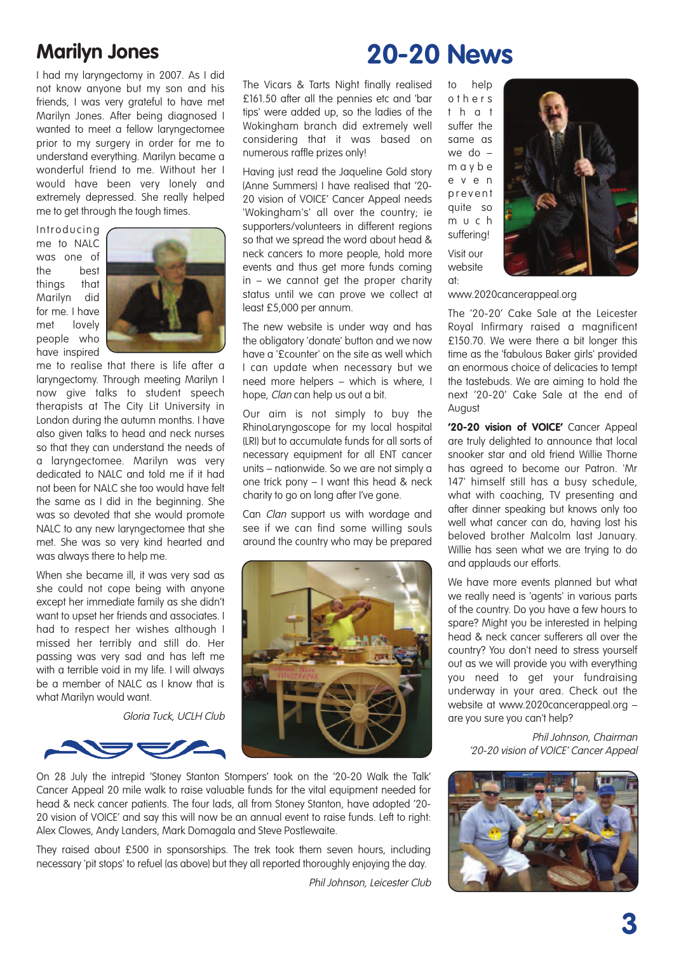### **Marilyn Jones**

I had my laryngectomy in 2007. As I did not know anyone but my son and his friends, I was very grateful to have met Marilyn Jones. After being diagnosed I wanted to meet a fellow laryngectomee prior to my surgery in order for me to understand everything. Marilyn became a wonderful friend to me. Without her I would have been very lonely and extremely depressed. She really helped me to get through the tough times.

**Introducing** me to NALC was one of the best things that Marilyn did for me. I have met lovely people who have inspired



me to realise that there is life after a laryngectomy. Through meeting Marilyn I now give talks to student speech therapists at The City Lit University in London during the autumn months. I have also given talks to head and neck nurses so that they can understand the needs of a laryngectomee. Marilyn was very dedicated to NALC and told me if it had not been for NALC she too would have felt the same as I did in the beginning. She was so devoted that she would promote NALC to any new laryngectomee that she met. She was so very kind hearted and was always there to help me.

When she became ill, it was very sad as she could not cope being with anyone except her immediate family as she didn't want to upset her friends and associates. I had to respect her wishes although I missed her terribly and still do. Her passing was very sad and has left me with a terrible void in my life. I will always be a member of NALC as I know that is what Marilyn would want.

Gloria Tuck, UCLH Club

# **20-20 News**

The Vicars & Tarts Night finally realised £161.50 after all the pennies etc and 'bar tips' were added up, so the ladies of the Wokingham branch did extremely well considering that it was based on numerous raffle prizes only!

Having just read the Jaqueline Gold story (Anne Summers) I have realised that '20- 20 vision of VOICE' Cancer Appeal needs 'Wokingham's' all over the country; ie supporters/volunteers in different regions so that we spread the word about head & neck cancers to more people, hold more events and thus get more funds coming in – we cannot get the proper charity status until we can prove we collect at least £5,000 per annum.

The new website is under way and has the obligatory 'donate' button and we now have a '£counter' on the site as well which I can update when necessary but we need more helpers – which is where, I hope, Clan can help us out a bit.

Our aim is not simply to buy the RhinoLaryngoscope for my local hospital (LRI) but to accumulate funds for all sorts of necessary equipment for all ENT cancer units – nationwide. So we are not simply a one trick pony – I want this head & neck charity to go on long after I've gone.

Can *Clan* support us with wordage and see if we can find some willing souls around the country who may be prepared



On 28 July the intrepid 'Stoney Stanton Stompers' took on the '20-20 Walk the Talk' Cancer Appeal 20 mile walk to raise valuable funds for the vital equipment needed for head & neck cancer patients. The four lads, all from Stoney Stanton, have adopted '20- 20 vision of VOICE' and say this will now be an annual event to raise funds. Left to right: Alex Clowes, Andy Landers, Mark Domagala and Steve Postlewaite.

They raised about £500 in sponsorships. The trek took them seven hours, including necessary 'pit stops' to refuel (as above) but they all reported thoroughly enjoying the day.

Phil Johnson, Leicester Club

to help o t h e r s t h a t suffer the same as we do – m a y b e e v e n p r e v e n t quite so m u c h suffering! Visit our website  $\mathsf{nt}$ 



www.2020cancerappeal.org

The '20-20' Cake Sale at the Leicester Royal Infirmary raised a magnificent £150.70. We were there a bit longer this time as the 'fabulous Baker girls' provided an enormous choice of delicacies to tempt the tastebuds. We are aiming to hold the next '20-20' Cake Sale at the end of August

**'20-20 vision of VOICE'** Cancer Appeal are truly delighted to announce that local snooker star and old friend Willie Thorne has agreed to become our Patron. 'Mr 147' himself still has a busy schedule, what with coaching, TV presenting and after dinner speaking but knows only too well what cancer can do, having lost his beloved brother Malcolm last January. Willie has seen what we are trying to do and applauds our efforts.

We have more events planned but what we really need is 'agents' in various parts of the country. Do you have a few hours to spare? Might you be interested in helping head & neck cancer sufferers all over the country? You don't need to stress yourself out as we will provide you with everything you need to get your fundraising underway in your area. Check out the website at www.2020cancerappeal.org – are you sure you can't help?

> Phil Johnson, Chairman '20-20 vision of VOICE' Cancer Appeal

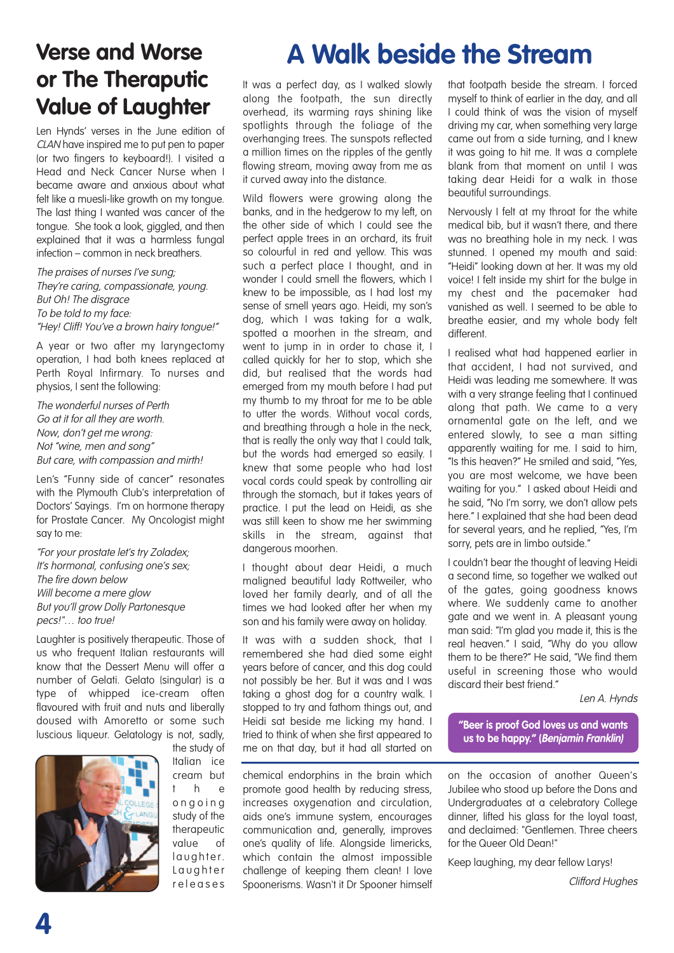### **Verse and Worse or The Theraputic Value of Laughter**

Len Hynds' verses in the June edition of CLAN have inspired me to put pen to paper (or two fingers to keyboard!). I visited a Head and Neck Cancer Nurse when I became aware and anxious about what felt like a muesli-like growth on my tongue. The last thing I wanted was cancer of the tongue. She took a look, giggled, and then explained that it was a harmless fungal infection – common in neck breathers.

The praises of nurses I've sung; They're caring, compassionate, young. But Oh! The disgrace To be told to my face: "Hey! Cliff! You've <sup>a</sup> brown hairy tongue!"

A year or two after my laryngectomy operation, I had both knees replaced at Perth Royal Infirmary. To nurses and physios, I sent the following:

The wonderful nurses of Perth Go at it for all they are worth. Now, don't get me wrong: Not "wine, men and song" But care, with compassion and mirth!

Len's "Funny side of cancer" resonates with the Plymouth Club's interpretation of Doctors' Sayings. I'm on hormone therapy for Prostate Cancer. My Oncologist might say to me:

"For your prostate let's try Zoladex; It's hormonal, confusing one's sex; The fire down below Will become <sup>a</sup> mere glow But you'll grow Dolly Partonesque pecs!"... too true!

Laughter is positively therapeutic. Those of us who frequent Italian restaurants will know that the Dessert Menu will offer a number of Gelati. Gelato (singular) is a type of whipped ice-cream often flavoured with fruit and nuts and liberally doused with Amoretto or some such luscious liqueur. Gelatology is not, sadly,



the study of Italian ice cream but t h e o n g o i n g study of the therapeutic value of l a u ghter. Laughter releases

# **A Walk beside the Stream**

It was a perfect day, as I walked slowly along the footpath, the sun directly overhead, its warming rays shining like spotlights through the foliage of the overhanging trees. The sunspots reflected a million times on the ripples of the gently flowing stream, moving away from me as it curved away into the distance.

Wild flowers were growing along the banks, and in the hedgerow to my left, on the other side of which I could see the perfect apple trees in an orchard, its fruit so colourful in red and yellow. This was such a perfect place I thought, and in wonder I could smell the flowers, which I knew to be impossible, as I had lost my sense of smell years ago. Heidi, my son's dog, which I was taking for a walk, spotted a moorhen in the stream, and went to jump in in order to chase it. I called quickly for her to stop, which she did, but realised that the words had emerged from my mouth before I had put my thumb to my throat for me to be able to utter the words. Without vocal cords, and breathing through a hole in the neck, that is really the only way that I could talk, but the words had emerged so easily. I knew that some people who had lost vocal cords could speak by controlling air through the stomach, but it takes years of practice. I put the lead on Heidi, as she was still keen to show me her swimming skills in the stream, against that dangerous moorhen.

I thought about dear Heidi, a much maligned beautiful lady Rottweiler, who loved her family dearly, and of all the times we had looked after her when my son and his family were away on holiday.

It was with a sudden shock, that I remembered she had died some eight years before of cancer, and this dog could not possibly be her. But it was and I was taking a ghost dog for a country walk. I stopped to try and fathom things out, and Heidi sat beside me licking my hand. I tried to think of when she first appeared to me on that day, but it had all started on

chemical endorphins in the brain which promote good health by reducing stress, increases oxygenation and circulation, aids one's immune system, encourages communication and, generally, improves one's quality of life. Alongside limericks, which contain the almost impossible challenge of keeping them clean! I love Spoonerisms. Wasn't it Dr Spooner himself that footpath beside the stream. I forced myself to think of earlier in the day, and all I could think of was the vision of myself driving my car, when something very large came out from a side turning, and I knew it was going to hit me. It was a complete blank from that moment on until I was taking dear Heidi for a walk in those beautiful surroundings.

Nervously I felt at my throat for the white medical bib, but it wasn't there, and there was no breathing hole in my neck. I was stunned. I opened my mouth and said: "Heidi" looking down at her. It was my old voice! I felt inside my shirt for the bulge in my chest and the pacemaker had vanished as well. I seemed to be able to breathe easier, and my whole body felt different.

I realised what had happened earlier in that accident, I had not survived, and Heidi was leading me somewhere. It was with a very strange feeling that I continued along that path. We came to a very ornamental gate on the left, and we entered slowly, to see a man sitting apparently waiting for me. I said to him, "Is this heaven?" He smiled and said, "Yes, you are most welcome, we have been waiting for you." I asked about Heidi and he said, "No I'm sorry, we don't allow pets here." I explained that she had been dead for several years, and he replied, "Yes, I'm sorry, pets are in limbo outside."

I couldn't bear the thought of leaving Heidi a second time, so together we walked out of the gates, going goodness knows where. We suddenly came to another gate and we went in. A pleasant young man said: "I'm glad you made it, this is the real heaven." I said, "Why do you allow them to be there?" He said, "We find them useful in screening those who would discard their best friend."

Len A. Hynds

**"Beer is proof God loves us and wants us to be happy." (Benjamin Franklin)**

on the occasion of another Queen's Jubilee who stood up before the Dons and Undergraduates at a celebratory College dinner, lifted his glass for the loyal toast, and declaimed: "Gentlemen. Three cheers for the Queer Old Dean!"

Keep laughing, my dear fellow Larys!

Clifford Hughes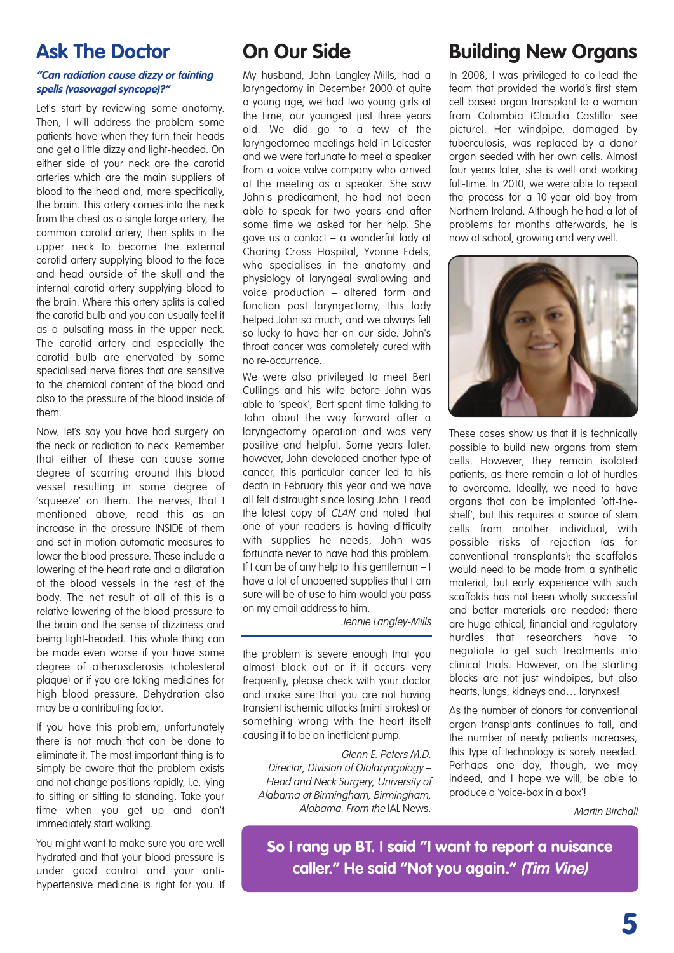### **Ask The Doctor**

#### **"Can radiation cause dizzy or fainting spells (vasovagal syncope)?"**

Let's start by reviewing some anatomy. Then, I will address the problem some patients have when they turn their heads and get a little dizzy and light-headed. On either side of your neck are the carotid arteries which are the main suppliers of blood to the head and, more specifically, the brain. This artery comes into the neck from the chest as a single large artery, the common carotid artery, then splits in the upper neck to become the external carotid artery supplying blood to the face and head outside of the skull and the internal carotid artery supplying blood to the brain. Where this artery splits is called the carotid bulb and you can usually feel it as a pulsating mass in the upper neck. The carotid artery and especially the carotid bulb are enervated by some specialised nerve fibres that are sensitive to the chemical content of the blood and also to the pressure of the blood inside of them.

Now, let's say you have had surgery on the neck or radiation to neck. Remember that either of these can cause some degree of scarring around this blood vessel resulting in some degree of 'squeeze' on them. The nerves, that I mentioned above, read this as an increase in the pressure INSIDE of them and set in motion automatic measures to lower the blood pressure. These include a lowering of the heart rate and a dilatation of the blood vessels in the rest of the body. The net result of all of this is a relative lowering of the blood pressure to the brain and the sense of dizziness and being light-headed. This whole thing can be made even worse if you have some degree of atherosclerosis (cholesterol plaque) or if you are taking medicines for high blood pressure. Dehydration also may be a contributing factor.

If you have this problem, unfortunately there is not much that can be done to eliminate it. The most important thing is to simply be aware that the problem exists and not change positions rapidly, i.e. lying to sitting or sitting to standing. Take your time when you get up and don't immediately start walking.

You might want to make sure you are well hydrated and that your blood pressure is under good control and your antihypertensive medicine is right for you. If

### **On Our Side**

My husband, John Langley-Mills, had a laryngectomy in December 2000 at quite a young age, we had two young girls at the time, our youngest just three years old. We did go to a few of the laryngectomee meetings held in Leicester and we were fortunate to meet a speaker from a voice valve company who arrived at the meeting as a speaker. She saw John's predicament, he had not been able to speak for two years and after some time we asked for her help. She gave us a contact – a wonderful lady at Charing Cross Hospital, Yvonne Edels, who specialises in the anatomy and physiology of laryngeal swallowing and voice production – altered form and function post laryngectomy, this lady helped John so much, and we always felt so lucky to have her on our side. John's throat cancer was completely cured with no re-occurrence.

We were also privileged to meet Bert Cullings and his wife before John was able to 'speak', Bert spent time talking to John about the way forward after a laryngectomy operation and was very positive and helpful. Some years later, however, John developed another type of cancer, this particular cancer led to his death in February this year and we have all felt distraught since losing John. I read the latest copy of CLAN and noted that one of your readers is having difficulty with supplies he needs, John was fortunate never to have had this problem. If I can be of any help to this gentleman – I have a lot of unopened supplies that I am sure will be of use to him would you pass on my email address to him.

Jennie Langley-Mills

the problem is severe enough that you almost black out or if it occurs very frequently, please check with your doctor and make sure that you are not having transient ischemic attacks (mini strokes) or something wrong with the heart itself causing it to be an inefficient pump.

#### Glenn E. Peters M.D.

Director, Division of Otolaryngology – Head and Neck Surgery, University of Alabama at Birmingham, Birmingham, Alabama. From the IAL News.

### **Building New Organs**

In 2008, I was privileged to co-lead the team that provided the world's first stem cell based organ transplant to a woman from Colombia (Claudia Castillo: see picture). Her windpipe, damaged by tuberculosis, was replaced by a donor organ seeded with her own cells. Almost four years later, she is well and working full-time. In 2010, we were able to repeat the process for a 10-year old boy from Northern Ireland. Although he had a lot of problems for months afterwards, he is now at school, growing and very well.



These cases show us that it is technically possible to build new organs from stem cells. However, they remain isolated patients, as there remain a lot of hurdles to overcome. Ideally, we need to have organs that can be implanted 'off-theshelf', but this requires a source of stem cells from another individual, with possible risks of rejection (as for conventional transplants); the scaffolds would need to be made from a synthetic material, but early experience with such scaffolds has not been wholly successful and better materials are needed; there are huge ethical, financial and regulatory hurdles that researchers have to negotiate to get such treatments into clinical trials. However, on the starting blocks are not just windpipes, but also hearts, lungs, kidneys and… larynxes!

As the number of donors for conventional organ transplants continues to fall, and the number of needy patients increases, this type of technology is sorely needed. Perhaps one day, though, we may indeed, and I hope we will, be able to produce a 'voice-box in a box'!

Martin Birchall

**So I rang up BT. I said "I want to report a nuisance caller." He said "Not you again." (Tim Vine)**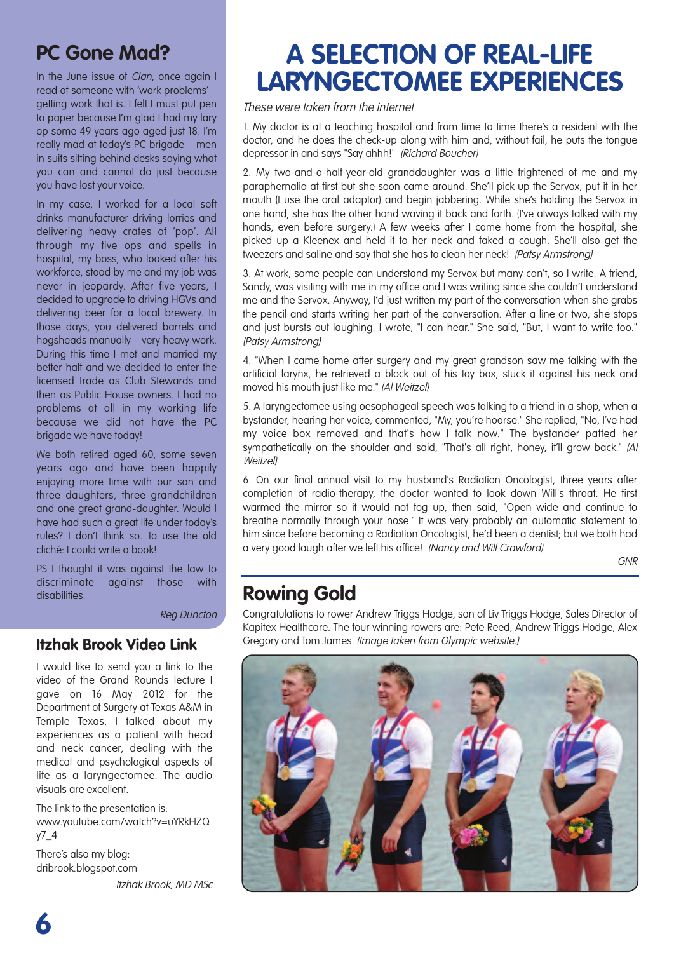### **PC Gone Mad?**

In the June issue of *Clan*, once again I read of someone with 'work problems' – getting work that is. I felt I must put pen to paper because I'm glad I had my lary op some 49 years ago aged just 18. I'm really mad at today's PC brigade – men in suits sitting behind desks saying what you can and cannot do just because you have lost your voice.

In my case, I worked for a local soft drinks manufacturer driving lorries and delivering heavy crates of 'pop'. All through my five ops and spells in hospital, my boss, who looked after his workforce, stood by me and my job was never in jeopardy. After five years, I decided to upgrade to driving HGVs and delivering beer for a local brewery. In those days, you delivered barrels and hogsheads manually – very heavy work. During this time I met and married my better half and we decided to enter the licensed trade as Club Stewards and then as Public House owners. I had no problems at all in my working life because we did not have the PC brigade we have today!

We both retired aged 60, some seven years ago and have been happily enjoying more time with our son and three daughters, three grandchildren and one great grand-daughter. Would I have had such a great life under today's rules? I don't think so. To use the old cliché: I could write a book!

PS I thought it was against the law to discriminate against those with disabilities.

Reg Duncton

### **Itzhak Brook Video Link**

I would like to send you a link to the video of the Grand Rounds lecture I gave on 16 May 2012 for the Department of Surgery at Texas A&M in Temple Texas. I talked about my experiences as a patient with head and neck cancer, dealing with the medical and psychological aspects of life as a laryngectomee. The audio visuals are excellent.

The link to the presentation is: www.youtube.com/watch?v=uYRkHZQ y7\_4

There's also my blog: dribrook.blogspot.com Itzhak Brook, MD MSc

## **A SELECTION OF REAL-LIFE LARYNGECTOMEE EXPERIENCES**

These were taken from the internet

1. My doctor is at a teaching hospital and from time to time there's a resident with the doctor, and he does the check-up along with him and, without fail, he puts the tongue depressor in and says "Say ahhh!" (Richard Boucher)

2. My two-and-a-half-year-old granddaughter was a little frightened of me and my paraphernalia at first but she soon came around. She'll pick up the Servox, put it in her mouth (I use the oral adaptor) and begin jabbering. While she's holding the Servox in one hand, she has the other hand waving it back and forth. (I've always talked with my hands, even before surgery.) A few weeks after I came home from the hospital, she picked up a Kleenex and held it to her neck and faked a cough. She'll also get the tweezers and saline and say that she has to clean her neck! (Patsy Armstrong)

3. At work, some people can understand my Servox but many can't, so I write. A friend, Sandy, was visiting with me in my office and I was writing since she couldn't understand me and the Servox. Anyway, I'd just written my part of the conversation when she grabs the pencil and starts writing her part of the conversation. After a line or two, she stops and just bursts out laughing. I wrote, "I can hear." She said, "But, I want to write too." (Patsy Armstrong)

4. "When I came home after surgery and my great grandson saw me talking with the artificial larynx, he retrieved a block out of his toy box, stuck it against his neck and moved his mouth just like me." (Al Weitzel)

5. A laryngectomee using oesophageal speech was talking to a friend in a shop, when a bystander, hearing her voice, commented, "My, you're hoarse." She replied, "No, I've had my voice box removed and that's how I talk now." The bystander patted her sympathetically on the shoulder and said, "That's all right, honey, it'll grow back." (Al **Weitzell** 

6. On our final annual visit to my husband's Radiation Oncologist, three years after completion of radio-therapy, the doctor wanted to look down Will's throat. He first warmed the mirror so it would not fog up, then said, "Open wide and continue to breathe normally through your nose." It was very probably an automatic statement to him since before becoming a Radiation Oncologist, he'd been a dentist; but we both had a very good laugh after we left his office! (Nancy and Will Crawford)

GNR

### **Rowing Gold**

Congratulations to rower Andrew Triggs Hodge, son of Liv Triggs Hodge, Sales Director of Kapitex Healthcare. The four winning rowers are: Pete Reed, Andrew Triggs Hodge, Alex Gregory and Tom James. (Image taken from Olympic website.)

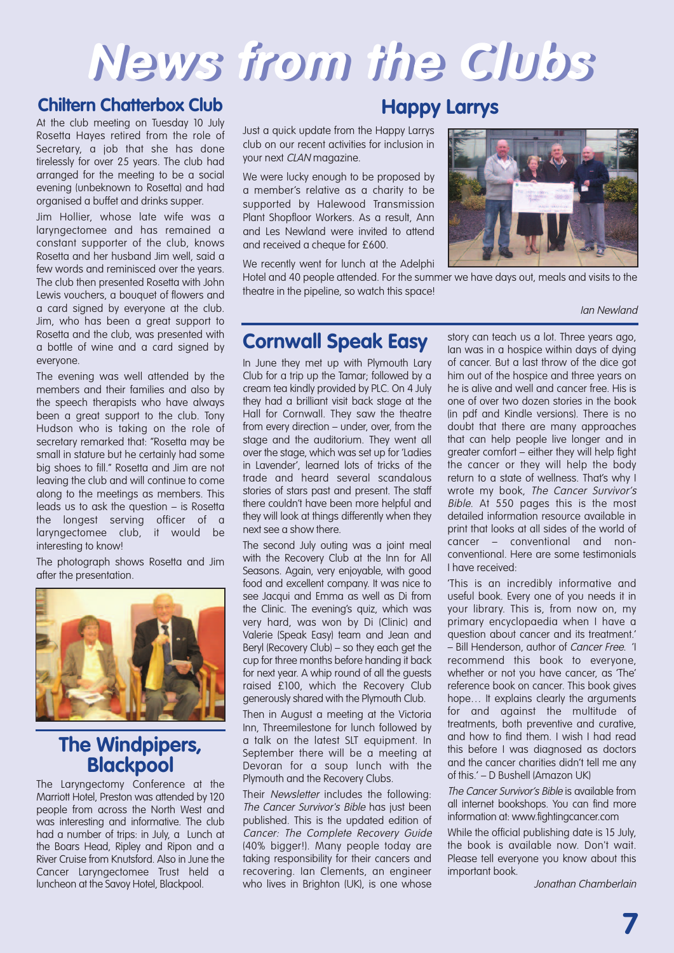# **News from the Clubs**

### **Chiltern Chatterbox Club**

At the club meeting on Tuesday 10 July Rosetta Hayes retired from the role of Secretary, a job that she has done tirelessly for over 25 years. The club had arranged for the meeting to be a social evening (unbeknown to Rosetta) and had organised a buffet and drinks supper.

Jim Hollier, whose late wife was a laryngectomee and has remained a constant supporter of the club, knows Rosetta and her husband Jim well, said a few words and reminisced over the years. The club then presented Rosetta with John Lewis vouchers, a bouquet of flowers and a card signed by everyone at the club. Jim, who has been a great support to Rosetta and the club, was presented with a bottle of wine and a card signed by everyone.

The evening was well attended by the members and their families and also by the speech therapists who have always been a great support to the club. Tony Hudson who is taking on the role of secretary remarked that: "Rosetta may be small in stature but he certainly had some big shoes to fill." Rosetta and Jim are not leaving the club and will continue to come along to the meetings as members. This leads us to ask the question – is Rosetta the longest serving officer of a laryngectomee club, it would be interesting to know!

The photograph shows Rosetta and Jim after the presentation.



### **The Windpipers, Blackpool**

The Laryngectomy Conference at the Marriott Hotel, Preston was attended by 120 people from across the North West and was interesting and informative. The club had a number of trips: in July, a Lunch at the Boars Head, Ripley and Ripon and a River Cruise from Knutsford. Also in June the Cancer Laryngectomee Trust held a luncheon at the Savoy Hotel, Blackpool.

### **Happy Larrys**

Just a quick update from the Happy Larrys club on our recent activities for inclusion in your next CLAN magazine.

We were lucky enough to be proposed by a member's relative as a charity to be supported by Halewood Transmission Plant Shopfloor Workers. As a result, Ann and Les Newland were invited to attend and received a cheque for £600.

We recently went for lunch at the Adelphi



Hotel and 40 people attended. For the summer we have days out, meals and visits to the theatre in the pipeline, so watch this space!

#### Ian Newland

### **Cornwall Speak Easy**

In June they met up with Plymouth Lary Club for a trip up the Tamar; followed by a cream tea kindly provided by PLC. On 4 July they had a brilliant visit back stage at the Hall for Cornwall. They saw the theatre from every direction – under, over, from the stage and the auditorium. They went all over the stage, which was set up for 'Ladies in Lavender', learned lots of tricks of the trade and heard several scandalous stories of stars past and present. The staff there couldn't have been more helpful and they will look at things differently when they next see a show there.

The second July outing was a joint meal with the Recovery Club at the Inn for All Seasons. Again, very enjoyable, with good food and excellent company. It was nice to see Jacqui and Emma as well as Di from the Clinic. The evening's quiz, which was very hard, was won by Di (Clinic) and Valerie (Speak Easy) team and Jean and Beryl (Recovery Club) – so they each get the cup for three months before handing it back for next year. A whip round of all the guests raised £100, which the Recovery Club generously shared with the Plymouth Club.

Then in August a meeting at the Victoria Inn, Threemilestone for lunch followed by a talk on the latest SLT equipment. In September there will be a meeting at Devoran for a soup lunch with the Plymouth and the Recovery Clubs.

Their Newsletter includes the following: The Cancer Survivor's Bible has just been published. This is the updated edition of Cancer: The Complete Recovery Guide (40% bigger!). Many people today are taking responsibility for their cancers and recovering. Ian Clements, an engineer who lives in Brighton (UK), is one whose

story can teach us a lot. Three years ago, Ian was in a hospice within days of dying of cancer. But a last throw of the dice got him out of the hospice and three years on he is alive and well and cancer free. His is one of over two dozen stories in the book (in pdf and Kindle versions). There is no doubt that there are many approaches that can help people live longer and in greater comfort – either they will help fight the cancer or they will help the body return to a state of wellness. That's why I wrote my book, The Cancer Survivor's Bible. At 550 pages this is the most detailed information resource available in print that looks at all sides of the world of cancer – conventional and nonconventional. Here are some testimonials I have received:

'This is an incredibly informative and useful book. Every one of you needs it in your library. This is, from now on, my primary encyclopaedia when I have a question about cancer and its treatment.' – Bill Henderson, author of Cancer Free. 'I recommend this book to everyone, whether or not you have cancer, as 'The' reference book on cancer. This book gives hope... It explains clearly the arguments for and against the multitude of treatments, both preventive and curative, and how to find them. I wish I had read this before I was diagnosed as doctors and the cancer charities didn't tell me any of this.' – D Bushell (Amazon UK)

The Cancer Survivor's Bible is available from all internet bookshops. You can find more information at: www.fightingcancer.com

While the official publishing date is 15 July, the book is available now. Don't wait. Please tell everyone you know about this important book.

Jonathan Chamberlain